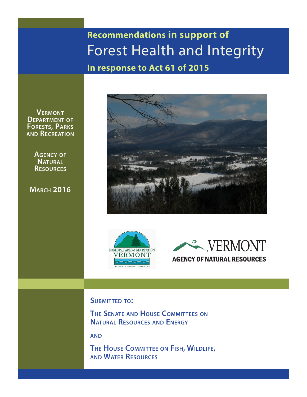**In response to Act 61 of 2015 Recommendations in support of**  Forest Health and Integrity

**Vermont Department of Forests, Parks and Recreation**

> **Agency of Natural Resources**

**March 2016**







#### **Submitted to:**

**The Senate and House Committees on Natural Resources and Energy**

**and**

**The House Committee on Fish, Wildlife, and Water Resources**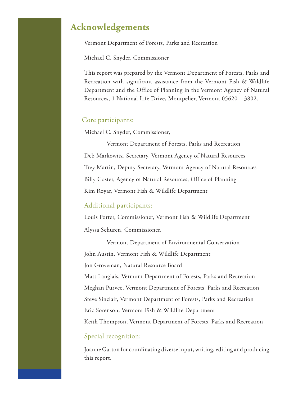### **Acknowledgements**

Vermont Department of Forests, Parks and Recreation

Michael C. Snyder, Commissioner

This report was prepared by the Vermont Department of Forests, Parks and Recreation with significant assistance from the Vermont Fish & Wildlife Department and the Office of Planning in the Vermont Agency of Natural Resources, 1 National Life Drive, Montpelier, Vermont 05620 – 3802.

#### Core participants:

Michael C. Snyder, Commissioner,

 Vermont Department of Forests, Parks and Recreation Deb Markowitz, Secretary, Vermont Agency of Natural Resources Trey Martin, Deputy Secretary, Vermont Agency of Natural Resources Billy Coster, Agency of Natural Resources, Office of Planning Kim Royar, Vermont Fish & Wildlife Department

#### Additional participants:

Louis Porter, Commissioner, Vermont Fish & Wildlife Department Alyssa Schuren, Commissioner,

 Vermont Department of Environmental Conservation John Austin, Vermont Fish & Wildlife Department Jon Groveman, Natural Resource Board Matt Langlais, Vermont Department of Forests, Parks and Recreation Meghan Purvee, Vermont Department of Forests, Parks and Recreation Steve Sinclair, Vermont Department of Forests, Parks and Recreation Eric Sorenson, Vermont Fish & Wildlife Department Keith Thompson, Vermont Department of Forests, Parks and Recreation

#### Special recognition:

Joanne Garton for coordinating diverse input, writing, editing and producing this report.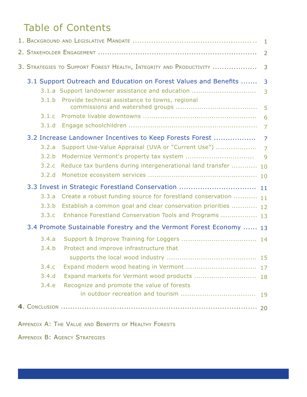## Table of Contents

|                                                                         | $\mathbf{1}$   |
|-------------------------------------------------------------------------|----------------|
|                                                                         | $\overline{2}$ |
| 3. STRATEGIES TO SUPPORT FOREST HEALTH, INTEGRITY AND PRODUCTIVITY      | 3              |
| 3.1 Support Outreach and Education on Forest Values and Benefits        | 3              |
| 3.1.a Support landowner assistance and education                        | 3              |
| Provide technical assistance to towns, regional<br>3.1.b                | 5              |
| 3.1.c                                                                   | 6              |
| 3.1.d                                                                   | $\overline{7}$ |
| 3.2 Increase Landowner Incentives to Keep Forests Forest                | $\overline{7}$ |
| Support Use-Value Appraisal (UVA or "Current Use")<br>3.2.a             | $\overline{7}$ |
| 3.2.b                                                                   | 9              |
| 3.2.c<br>Reduce tax burdens during intergenerational land transfer  10  |                |
| 3.2.d                                                                   |                |
| 3.3 Invest in Strategic Forestland Conservation  11                     |                |
| 3.3.a<br>Create a robust funding source for forestland conservation  11 |                |
| Establish a common goal and clear conservation priorities  12<br>3.3.b  |                |
| 3.3.c<br>Enhance Forestland Conservation Tools and Programs  13         |                |
| 3.4 Promote Sustainable Forestry and the Vermont Forest Economy  13     |                |
| 3.4.a                                                                   |                |
| 3.4.b<br>Protect and improve infrastructure that                        |                |
|                                                                         |                |
| 3.4.c                                                                   |                |
| Expand markets for Vermont wood products  18<br>3.4.d                   |                |
| 3.4.e<br>Recognize and promote the value of forests                     |                |
|                                                                         |                |
|                                                                         |                |
|                                                                         |                |

Appendix A: The Value and Benefits of Healthy Forests

Appendix B: Agency Strategies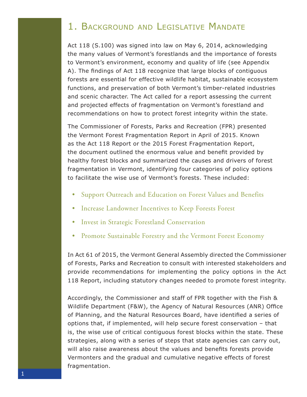## 1. Background and Legislative Mandate

Act 118 (S.100) was signed into law on May 6, 2014, acknowledging the many values of Vermont's forestlands and the importance of forests to Vermont's environment, economy and quality of life (see Appendix A). The findings of Act 118 recognize that large blocks of contiguous forests are essential for effective wildlife habitat, sustainable ecosystem functions, and preservation of both Vermont's timber-related industries and scenic character. The Act called for a report assessing the current and projected effects of fragmentation on Vermont's forestland and recommendations on how to protect forest integrity within the state.

The Commissioner of Forests, Parks and Recreation (FPR) presented the Vermont Forest Fragmentation Report in April of 2015. Known as the Act 118 Report or the 2015 Forest Fragmentation Report, the document outlined the enormous value and benefit provided by healthy forest blocks and summarized the causes and drivers of forest fragmentation in Vermont, identifying four categories of policy options to facilitate the wise use of Vermont's forests. These included:

- Support Outreach and Education on Forest Values and Benefits
- Increase Landowner Incentives to Keep Forests Forest
- Invest in Strategic Forestland Conservation
- Promote Sustainable Forestry and the Vermont Forest Economy

In Act 61 of 2015, the Vermont General Assembly directed the Commissioner of Forests, Parks and Recreation to consult with interested stakeholders and provide recommendations for implementing the policy options in the Act 118 Report, including statutory changes needed to promote forest integrity.

Accordingly, the Commissioner and staff of FPR together with the Fish & Wildlife Department (F&W), the Agency of Natural Resources (ANR) Office of Planning, and the Natural Resources Board, have identified a series of options that, if implemented, will help secure forest conservation – that is, the wise use of critical contiguous forest blocks within the state. These strategies, along with a series of steps that state agencies can carry out, will also raise awareness about the values and benefits forests provide Vermonters and the gradual and cumulative negative effects of forest fragmentation.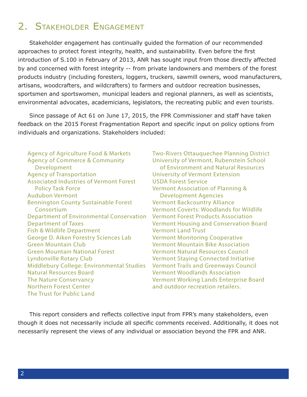## 2. Stakeholder Engagement

Stakeholder engagement has continually guided the formation of our recommended approaches to protect forest integrity, health, and sustainability. Even before the first introduction of S.100 in February of 2013, ANR has sought input from those directly affected by and concerned with forest integrity -- from private landowners and members of the forest products industry (including foresters, loggers, truckers, sawmill owners, wood manufacturers, artisans, woodcrafters, and wildcrafters) to farmers and outdoor recreation businesses, sportsmen and sportswomen, municipal leaders and regional planners, as well as scientists, environmental advocates, academicians, legislators, the recreating public and even tourists.

Since passage of Act 61 on June 17, 2015, the FPR Commissioner and staff have taken feedback on the 2015 Forest Fragmentation Report and specific input on policy options from individuals and organizations. Stakeholders included:

Agency of Agriculture Food & Markets Agency of Commerce & Community Development Agency of Transportation Associated Industries of Vermont Forest Policy Task Force Audubon Vermont Bennington County Sustainable Forest Consortium Department of Environmental Conservation Department of Taxes Fish & Wildlife Department George D. Aiken Forestry Sciences Lab Green Mountain Club Green Mountain National Forest Lyndonville Rotary Club Middlebury College: Environmental Studies Natural Resources Board The Nature Conservancy Northern Forest Center The Trust for Public Land

Two-Rivers Ottauquechee Planning District University of Vermont, Rubenstein School of Environment and Natural Resources University of Vermont Extension USDA Forest Service Vermont Association of Planning & Development Agencies Vermont Backcountry Alliance Vermont Coverts: Woodlands for Wildlife Vermont Forest Products Association Vermont Housing and Conservation Board Vermont Land Trust Vermont Monitoring Cooperative Vermont Mountain Bike Association Vermont Natural Resources Council Vermont Staying Connected Initiative Vermont Trails and Greenways Council Vermont Woodlands Association Vermont Working Lands Enterprise Board and outdoor recreation retailers.

This report considers and reflects collective input from FPR's many stakeholders, even though it does not necessarily include all specific comments received. Additionally, it does not necessarily represent the views of any individual or association beyond the FPR and ANR.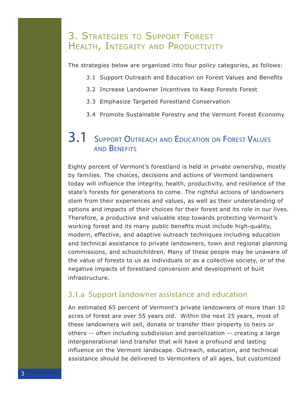### 3. Strategies to Support Forest HEALTH, INTEGRITY AND PRODUCTIVITY

The strategies below are organized into four policy categories, as follows:

- 3.1 Support Outreach and Education on Forest Values and Benefits
- 3.2 Increase Landowner Incentives to Keep Forests Forest
- 3.3 Emphasize Targeted Forestland Conservation
- 3.4 Promote Sustainable Forestry and the Vermont Forest Economy

### 3.1 Support Outreach and Education on Forest Values and Benefits

Eighty percent of Vermont's forestland is held in private ownership, mostly by families. The choices, decisions and actions of Vermont landowners today will influence the integrity, health, productivity, and resilience of the state's forests for generations to come. The rightful actions of landowners stem from their experiences and values, as well as their understanding of options and impacts of their choices for their forest and its role in our lives. Therefore, a productive and valuable step towards protecting Vermont's working forest and its many public benefits must include high-quality, modern, effective, and adaptive outreach techniques including education and technical assistance to private landowners, town and regional planning commissions, and schoolchildren. Many of these people may be unaware of the value of forests to us as individuals or as a collective society, or of the negative impacts of forestland conversion and development of built infrastructure.

#### 3.1.a Support landowner assistance and education

An estimated 65 percent of Vermont's private landowners of more than 10 acres of forest are over 55 years old. Within the next 25 years, most of these landowners will sell, donate or transfer their property to heirs or others -- often including subdivision and parcelization -- creating a large intergenerational land transfer that will have a profound and lasting influence on the Vermont landscape. Outreach, education, and technical assistance should be delivered to Vermonters of all ages, but customized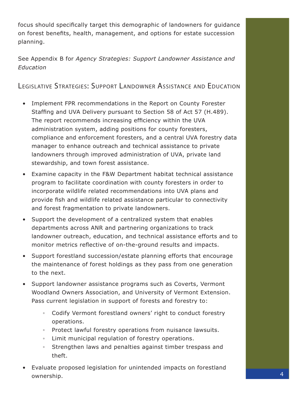focus should specifically target this demographic of landowners for guidance on forest benefits, health, management, and options for estate succession planning.

See Appendix B for *Agency Strategies: Support Landowner Assistance and Education*

Legislative Strategies: Support Landowner Assistance and Education

- Implement FPR recommendations in the Report on County Forester Staffing and UVA Delivery pursuant to Section 58 of Act 57 (H.489). The report recommends increasing efficiency within the UVA administration system, adding positions for county foresters, compliance and enforcement foresters, and a central UVA forestry data manager to enhance outreach and technical assistance to private landowners through improved administration of UVA, private land stewardship, and town forest assistance.
- Examine capacity in the F&W Department habitat technical assistance program to facilitate coordination with county foresters in order to incorporate wildlife related recommendations into UVA plans and provide fish and wildlife related assistance particular to connectivity and forest fragmentation to private landowners.
- Support the development of a centralized system that enables departments across ANR and partnering organizations to track landowner outreach, education, and technical assistance efforts and to monitor metrics reflective of on-the-ground results and impacts.
- Support forestland succession/estate planning efforts that encourage the maintenance of forest holdings as they pass from one generation to the next.
- Support landowner assistance programs such as Coverts, Vermont Woodland Owners Association, and University of Vermont Extension. Pass current legislation in support of forests and forestry to:
	- Codify Vermont forestland owners' right to conduct forestry operations.
	- Protect lawful forestry operations from nuisance lawsuits.
	- Limit municipal regulation of forestry operations.
	- Strengthen laws and penalties against timber trespass and theft.
- Evaluate proposed legislation for unintended impacts on forestland ownership.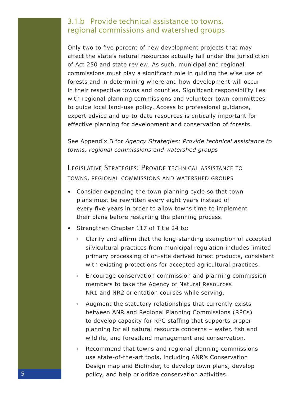#### 3.1.b Provide technical assistance to towns, regional commissions and watershed groups

Only two to five percent of new development projects that may affect the state's natural resources actually fall under the jurisdiction of Act 250 and state review. As such, municipal and regional commissions must play a significant role in guiding the wise use of forests and in determining where and how development will occur in their respective towns and counties. Significant responsibility lies with regional planning commissions and volunteer town committees to guide local land-use policy. Access to professional guidance, expert advice and up-to-date resources is critically important for effective planning for development and conservation of forests.

See Appendix B for *Agency Strategies: Provide technical assistance to towns, regional commissions and watershed groups*

LEGISLATIVE STRATEGIES: PROVIDE TECHNICAL ASSISTANCE TO towns, regional commissions and watershed groups

- Consider expanding the town planning cycle so that town plans must be rewritten every eight years instead of every five years in order to allow towns time to implement their plans before restarting the planning process.
- Strengthen Chapter 117 of Title 24 to:
	- Clarify and affirm that the long-standing exemption of accepted silvicultural practices from municipal regulation includes limited primary processing of on-site derived forest products, consistent with existing protections for accepted agricultural practices.
	- Encourage conservation commission and planning commission members to take the Agency of Natural Resources NR1 and NR2 orientation courses while serving.
	- Augment the statutory relationships that currently exists between ANR and Regional Planning Commissions (RPCs) to develop capacity for RPC staffing that supports proper planning for all natural resource concerns – water, fish and wildlife, and forestland management and conservation.
	- Recommend that towns and regional planning commissions use state-of-the-art tools, including ANR's Conservation Design map and Biofinder, to develop town plans, develop policy, and help prioritize conservation activities.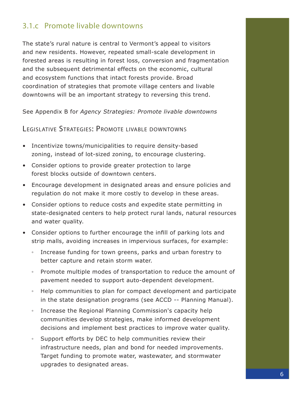#### 3.1.c Promote livable downtowns

The state's rural nature is central to Vermont's appeal to visitors and new residents. However, repeated small-scale development in forested areas is resulting in forest loss, conversion and fragmentation and the subsequent detrimental effects on the economic, cultural and ecosystem functions that intact forests provide. Broad coordination of strategies that promote village centers and livable downtowns will be an important strategy to reversing this trend.

See Appendix B for *Agency Strategies: Promote livable downtowns*

Legislative Strategies: Promote livable downtowns

- Incentivize towns/municipalities to require density-based zoning, instead of lot-sized zoning, to encourage clustering.
- Consider options to provide greater protection to large forest blocks outside of downtown centers.
- Encourage development in designated areas and ensure policies and regulation do not make it more costly to develop in these areas.
- Consider options to reduce costs and expedite state permitting in state-designated centers to help protect rural lands, natural resources and water quality.
- Consider options to further encourage the infill of parking lots and strip malls, avoiding increases in impervious surfaces, for example:
	- Increase funding for town greens, parks and urban forestry to better capture and retain storm water.
	- Promote multiple modes of transportation to reduce the amount of pavement needed to support auto-dependent development.
	- Help communities to plan for compact development and participate in the state designation programs (see ACCD -- Planning Manual).
	- Increase the Regional Planning Commission's capacity help communities develop strategies, make informed development decisions and implement best practices to improve water quality.
	- Support efforts by DEC to help communities review their infrastructure needs, plan and bond for needed improvements. Target funding to promote water, wastewater, and stormwater upgrades to designated areas.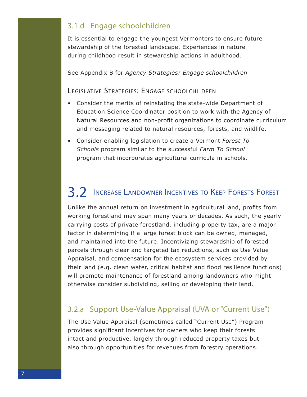#### 3.1.d Engage schoolchildren

It is essential to engage the youngest Vermonters to ensure future stewardship of the forested landscape. Experiences in nature during childhood result in stewardship actions in adulthood.

See Appendix B for *Agency Strategies: Engage schoolchildren*

#### Legislative Strategies: Engage schoolchildren

- Consider the merits of reinstating the state-wide Department of Education Science Coordinator position to work with the Agency of Natural Resources and non-profit organizations to coordinate curriculum and messaging related to natural resources, forests, and wildlife.
- Consider enabling legislation to create a Vermont *Forest To Schools* program similar to the successful *Farm To School* program that incorporates agricultural curricula in schools.

## 3.2 Increase Landowner Incentives to Keep Forests Forest

Unlike the annual return on investment in agricultural land, profits from working forestland may span many years or decades. As such, the yearly carrying costs of private forestland, including property tax, are a major factor in determining if a large forest block can be owned, managed, and maintained into the future. Incentivizing stewardship of forested parcels through clear and targeted tax reductions, such as Use Value Appraisal, and compensation for the ecosystem services provided by their land (e.g. clean water, critical habitat and flood resilience functions) will promote maintenance of forestland among landowners who might otherwise consider subdividing, selling or developing their land.

#### 3.2.a Support Use-Value Appraisal (UVA or "Current Use")

The Use Value Appraisal (sometimes called "Current Use") Program provides significant incentives for owners who keep their forests intact and productive, largely through reduced property taxes but also through opportunities for revenues from forestry operations.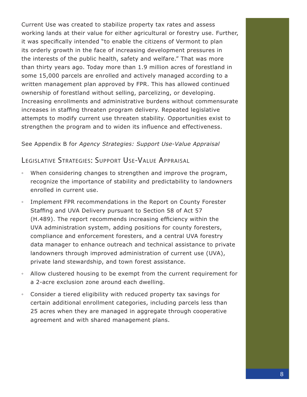Current Use was created to stabilize property tax rates and assess working lands at their value for either agricultural or forestry use. Further, it was specifically intended "to enable the citizens of Vermont to plan its orderly growth in the face of increasing development pressures in the interests of the public health, safety and welfare." That was more than thirty years ago. Today more than 1.9 million acres of forestland in some 15,000 parcels are enrolled and actively managed according to a written management plan approved by FPR. This has allowed continued ownership of forestland without selling, parcelizing, or developing. Increasing enrollments and administrative burdens without commensurate increases in staffing threaten program delivery. Repeated legislative attempts to modify current use threaten stability. Opportunities exist to strengthen the program and to widen its influence and effectiveness.

#### See Appendix B for *Agency Strategies: Support Use-Value Appraisal*

#### Legislative Strategies: Support Use-Value Appraisal

- When considering changes to strengthen and improve the program, recognize the importance of stability and predictability to landowners enrolled in current use.
- Implement FPR recommendations in the Report on County Forester Staffing and UVA Delivery pursuant to Section 58 of Act 57 (H.489). The report recommends increasing efficiency within the UVA administration system, adding positions for county foresters, compliance and enforcement foresters, and a central UVA forestry data manager to enhance outreach and technical assistance to private landowners through improved administration of current use (UVA), private land stewardship, and town forest assistance.
- Allow clustered housing to be exempt from the current requirement for a 2-acre exclusion zone around each dwelling.
- Consider a tiered eligibility with reduced property tax savings for certain additional enrollment categories, including parcels less than 25 acres when they are managed in aggregate through cooperative agreement and with shared management plans.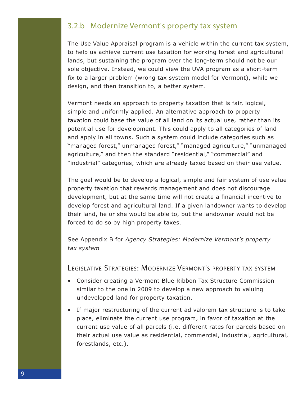#### 3.2.b Modernize Vermont's property tax system

The Use Value Appraisal program is a vehicle within the current tax system, to help us achieve current use taxation for working forest and agricultural lands, but sustaining the program over the long-term should not be our sole objective. Instead, we could view the UVA program as a short-term fix to a larger problem (wrong tax system model for Vermont), while we design, and then transition to, a better system.

Vermont needs an approach to property taxation that is fair, logical, simple and uniformly applied. An alternative approach to property taxation could base the value of all land on its actual use, rather than its potential use for development. This could apply to all categories of land and apply in all towns. Such a system could include categories such as "managed forest," unmanaged forest," "managed agriculture," "unmanaged agriculture," and then the standard "residential," "commercial" and "industrial" categories, which are already taxed based on their use value.

The goal would be to develop a logical, simple and fair system of use value property taxation that rewards management and does not discourage development, but at the same time will not create a financial incentive to develop forest and agricultural land. If a given landowner wants to develop their land, he or she would be able to, but the landowner would not be forced to do so by high property taxes.

See Appendix B for *Agency Strategies: Modernize Vermont's property tax system*

Legislative Strategies: Modernize Vermont's property tax system

- Consider creating a Vermont Blue Ribbon Tax Structure Commission similar to the one in 2009 to develop a new approach to valuing undeveloped land for property taxation.
- If major restructuring of the current ad valorem tax structure is to take place, eliminate the current use program, in favor of taxation at the current use value of all parcels (i.e. different rates for parcels based on their actual use value as residential, commercial, industrial, agricultural, forestlands, etc.).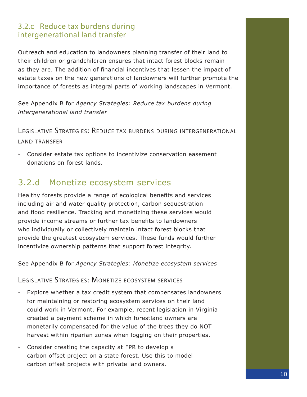#### 3.2.c Reduce tax burdens during intergenerational land transfer

Outreach and education to landowners planning transfer of their land to their children or grandchildren ensures that intact forest blocks remain as they are. The addition of financial incentives that lessen the impact of estate taxes on the new generations of landowners will further promote the importance of forests as integral parts of working landscapes in Vermont.

See Appendix B for *Agency Strategies: Reduce tax burdens during intergenerational land transfer*

Legislative Strategies: Reduce tax burdens during intergenerational land transfer

◦ Consider estate tax options to incentivize conservation easement donations on forest lands.

### 3.2.d Monetize ecosystem services

Healthy forests provide a range of ecological benefits and services including air and water quality protection, carbon sequestration and flood resilience. Tracking and monetizing these services would provide income streams or further tax benefits to landowners who individually or collectively maintain intact forest blocks that provide the greatest ecosystem services. These funds would further incentivize ownership patterns that support forest integrity.

See Appendix B for *Agency Strategies: Monetize ecosystem services*

Legislative Strategies: Monetize ecosystem services

- Explore whether a tax credit system that compensates landowners for maintaining or restoring ecosystem services on their land could work in Vermont. For example, recent legislation in Virginia created a payment scheme in which forestland owners are monetarily compensated for the value of the trees they do NOT harvest within riparian zones when logging on their properties.
- Consider creating the capacity at FPR to develop a carbon offset project on a state forest. Use this to model carbon offset projects with private land owners.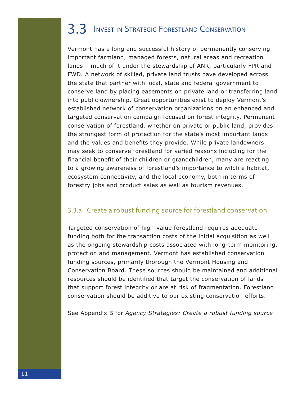# 3.3 Invest in Strategic Forestland Conservation

Vermont has a long and successful history of permanently conserving important farmland, managed forests, natural areas and recreation lands – much of it under the stewardship of ANR, particularly FPR and FWD. A network of skilled, private land trusts have developed across the state that partner with local, state and federal government to conserve land by placing easements on private land or transferring land into public ownership. Great opportunities exist to deploy Vermont's established network of conservation organizations on an enhanced and targeted conservation campaign focused on forest integrity. Permanent conservation of forestland, whether on private or public land, provides the strongest form of protection for the state's most important lands and the values and benefits they provide. While private landowners may seek to conserve forestland for varied reasons including for the financial benefit of their children or grandchildren, many are reacting to a growing awareness of forestland's importance to wildlife habitat, ecosystem connectivity, and the local economy, both in terms of forestry jobs and product sales as well as tourism revenues.

#### 3.3.a Create a robust funding source for forestland conservation

Targeted conservation of high-value forestland requires adequate funding both for the transaction costs of the initial acquisition as well as the ongoing stewardship costs associated with long-term monitoring, protection and management. Vermont has established conservation funding sources, primarily thorough the Vermont Housing and Conservation Board. These sources should be maintained and additional resources should be identified that target the conservation of lands that support forest integrity or are at risk of fragmentation. Forestland conservation should be additive to our existing conservation efforts.

See Appendix B for *Agency Strategies: Create a robust funding source*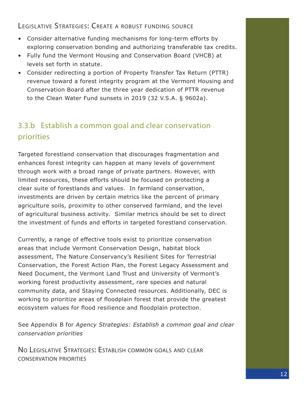#### Legislative Strategies: Create a robust funding source

- Consider alternative funding mechanisms for long-term efforts by exploring conservation bonding and authorizing transferable tax credits.
- Fully fund the Vermont Housing and Conservation Board (VHCB) at levels set forth in statute.
- Consider redirecting a portion of Property Transfer Tax Return (PTTR) revenue toward a forest integrity program at the Vermont Housing and Conservation Board after the three year dedication of PTTR revenue to the Clean Water Fund sunsets in 2019 (32 V.S.A. § 9602a).

### 3.3.b Establish a common goal and clear conservation priorities

Targeted forestland conservation that discourages fragmentation and enhances forest integrity can happen at many levels of government through work with a broad range of private partners. However, with limited resources, these efforts should be focused on protecting a clear suite of forestlands and values. In farmland conservation, investments are driven by certain metrics like the percent of primary agriculture soils, proximity to other conserved farmland, and the level of agricultural business activity. Similar metrics should be set to direct the investment of funds and efforts in targeted forestland conservation.

Currently, a range of effective tools exist to prioritize conservation areas that include Vermont Conservation Design, habitat block assessment, The Nature Conservancy's Resilient Sites for Terrestrial Conservation, the Forest Action Plan, the Forest Legacy Assessment and Need Document, the Vermont Land Trust and University of Vermont's working forest productivity assessment, rare species and natural community data, and Staying Connected resources. Additionally, DEC is working to prioritize areas of floodplain forest that provide the greatest ecosystem values for flood resilience and floodplain protection.

See Appendix B for *Agency Strategies: Establish a common goal and clear conservation priorities*

No Legislative Strategies: Establish common goals and clear conservation priorities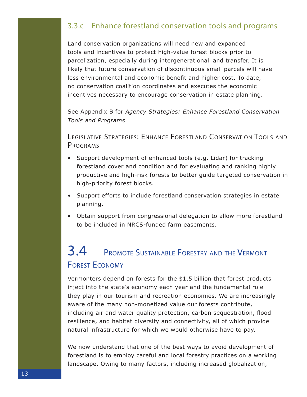#### 3.3.c Enhance forestland conservation tools and programs

Land conservation organizations will need new and expanded tools and incentives to protect high-value forest blocks prior to parcelization, especially during intergenerational land transfer. It is likely that future conservation of discontinuous small parcels will have less environmental and economic benefit and higher cost. To date, no conservation coalition coordinates and executes the economic incentives necessary to encourage conservation in estate planning.

See Appendix B for *Agency Strategies: Enhance Forestland Conservation Tools and Programs*

Legislative Strategies: Enhance Forestland Conservation Tools and **PROGRAMS** 

- Support development of enhanced tools (e.g. Lidar) for tracking forestland cover and condition and for evaluating and ranking highly productive and high-risk forests to better guide targeted conservation in high-priority forest blocks.
- Support efforts to include forestland conservation strategies in estate planning.
- Obtain support from congressional delegation to allow more forestland to be included in NRCS-funded farm easements.

## 3.4 Promote Sustainable Forestry and the Vermont Forest Economy

Vermonters depend on forests for the \$1.5 billion that forest products inject into the state's economy each year and the fundamental role they play in our tourism and recreation economies. We are increasingly aware of the many non-monetized value our forests contribute, including air and water quality protection, carbon sequestration, flood resilience, and habitat diversity and connectivity, all of which provide natural infrastructure for which we would otherwise have to pay.

We now understand that one of the best ways to avoid development of forestland is to employ careful and local forestry practices on a working landscape. Owing to many factors, including increased globalization,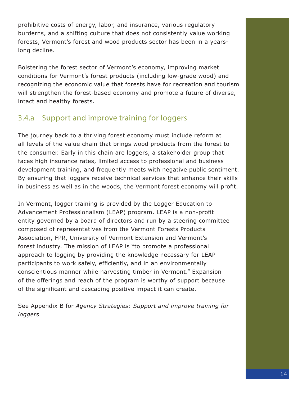prohibitive costs of energy, labor, and insurance, various regulatory burderns, and a shifting culture that does not consistently value working forests, Vermont's forest and wood products sector has been in a yearslong decline.

Bolstering the forest sector of Vermont's economy, improving market conditions for Vermont's forest products (including low-grade wood) and recognizing the economic value that forests have for recreation and tourism will strengthen the forest-based economy and promote a future of diverse, intact and healthy forests.

#### 3.4.a Support and improve training for loggers

The journey back to a thriving forest economy must include reform at all levels of the value chain that brings wood products from the forest to the consumer. Early in this chain are loggers, a stakeholder group that faces high insurance rates, limited access to professional and business development training, and frequently meets with negative public sentiment. By ensuring that loggers receive technical services that enhance their skills in business as well as in the woods, the Vermont forest economy will profit.

In Vermont, logger training is provided by the Logger Education to Advancement Professionalism (LEAP) program. LEAP is a non-profit entity governed by a board of directors and run by a steering committee composed of representatives from the Vermont Forests Products Association, FPR, University of Vermont Extension and Vermont's forest industry. The mission of LEAP is "to promote a professional approach to logging by providing the knowledge necessary for LEAP participants to work safely, efficiently, and in an environmentally conscientious manner while harvesting timber in Vermont." Expansion of the offerings and reach of the program is worthy of support because of the significant and cascading positive impact it can create.

See Appendix B for *Agency Strategies: Support and improve training for loggers*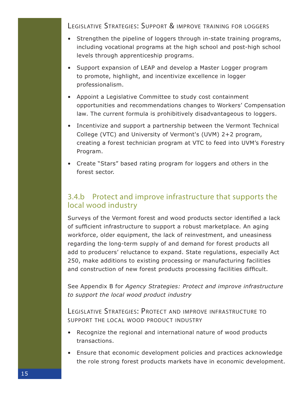Legislative Strategies: Support & improve training for loggers

- Strengthen the pipeline of loggers through in-state training programs, including vocational programs at the high school and post-high school levels through apprenticeship programs.
- Support expansion of LEAP and develop a Master Logger program to promote, highlight, and incentivize excellence in logger professionalism.
- Appoint a Legislative Committee to study cost containment opportunities and recommendations changes to Workers' Compensation law. The current formula is prohibitively disadvantageous to loggers.
- Incentivize and support a partnership between the Vermont Technical College (VTC) and University of Vermont's (UVM) 2+2 program, creating a forest technician program at VTC to feed into UVM's Forestry Program.
- Create "Stars" based rating program for loggers and others in the forest sector.

#### 3.4.b Protect and improve infrastructure that supports the local wood industry

Surveys of the Vermont forest and wood products sector identified a lack of sufficient infrastructure to support a robust marketplace. An aging workforce, older equipment, the lack of reinvestment, and uneasiness regarding the long-term supply of and demand for forest products all add to producers' reluctance to expand. State regulations, especially Act 250, make additions to existing processing or manufacturing facilities and construction of new forest products processing facilities difficult.

See Appendix B for *Agency Strategies: Protect and improve infrastructure to support the local wood product industry*

Legislative Strategies: Protect and improve infrastructure to support the local wood product industry

- Recognize the regional and international nature of wood products transactions.
- Ensure that economic development policies and practices acknowledge the role strong forest products markets have in economic development.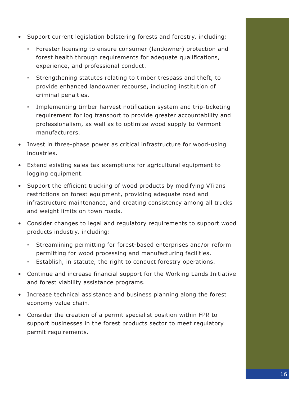- Support current legislation bolstering forests and forestry, including:
	- Forester licensing to ensure consumer (landowner) protection and forest health through requirements for adequate qualifications, experience, and professional conduct.
	- Strengthening statutes relating to timber trespass and theft, to provide enhanced landowner recourse, including institution of criminal penalties.
	- Implementing timber harvest notification system and trip-ticketing requirement for log transport to provide greater accountability and professionalism, as well as to optimize wood supply to Vermont manufacturers.
- Invest in three-phase power as critical infrastructure for wood-using industries.
- Extend existing sales tax exemptions for agricultural equipment to logging equipment.
- Support the efficient trucking of wood products by modifying VTrans restrictions on forest equipment, providing adequate road and infrastructure maintenance, and creating consistency among all trucks and weight limits on town roads.
- Consider changes to legal and regulatory requirements to support wood products industry, including:
	- Streamlining permitting for forest-based enterprises and/or reform permitting for wood processing and manufacturing facilities.
	- Establish, in statute, the right to conduct forestry operations.
- Continue and increase financial support for the Working Lands Initiative and forest viability assistance programs.
- Increase technical assistance and business planning along the forest economy value chain.
- Consider the creation of a permit specialist position within FPR to support businesses in the forest products sector to meet regulatory permit requirements.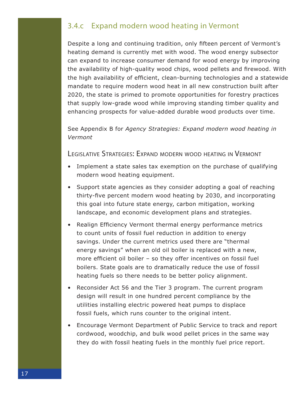#### 3.4.c Expand modern wood heating in Vermont

Despite a long and continuing tradition, only fifteen percent of Vermont's heating demand is currently met with wood. The wood energy subsector can expand to increase consumer demand for wood energy by improving the availability of high-quality wood chips, wood pellets and firewood. With the high availability of efficient, clean-burning technologies and a statewide mandate to require modern wood heat in all new construction built after 2020, the state is primed to promote opportunities for forestry practices that supply low-grade wood while improving standing timber quality and enhancing prospects for value-added durable wood products over time.

See Appendix B for *Agency Strategies: Expand modern wood heating in Vermont*

Legislative Strategies: Expand modern wood heating in Vermont

- Implement a state sales tax exemption on the purchase of qualifying modern wood heating equipment.
- Support state agencies as they consider adopting a goal of reaching thirty-five percent modern wood heating by 2030, and incorporating this goal into future state energy, carbon mitigation, working landscape, and economic development plans and strategies.
- Realign Efficiency Vermont thermal energy performance metrics to count units of fossil fuel reduction in addition to energy savings. Under the current metrics used there are "thermal energy savings" when an old oil boiler is replaced with a new, more efficient oil boiler – so they offer incentives on fossil fuel boilers. State goals are to dramatically reduce the use of fossil heating fuels so there needs to be better policy alignment.
- Reconsider Act 56 and the Tier 3 program. The current program design will result in one hundred percent compliance by the utilities installing electric powered heat pumps to displace fossil fuels, which runs counter to the original intent.
- Encourage Vermont Department of Public Service to track and report cordwood, woodchip, and bulk wood pellet prices in the same way they do with fossil heating fuels in the monthly fuel price report.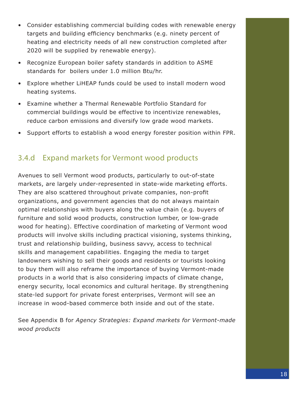- Consider establishing commercial building codes with renewable energy targets and building efficiency benchmarks (e.g. ninety percent of heating and electricity needs of all new construction completed after 2020 will be supplied by renewable energy).
- Recognize European boiler safety standards in addition to ASME standards for boilers under 1.0 million Btu/hr.
- Explore whether LiHEAP funds could be used to install modern wood heating systems.
- Examine whether a Thermal Renewable Portfolio Standard for commercial buildings would be effective to incentivize renewables, reduce carbon emissions and diversify low grade wood markets.
- Support efforts to establish a wood energy forester position within FPR.

#### 3.4.d Expand markets for Vermont wood products

Avenues to sell Vermont wood products, particularly to out-of-state markets, are largely under-represented in state-wide marketing efforts. They are also scattered throughout private companies, non-profit organizations, and government agencies that do not always maintain optimal relationships with buyers along the value chain (e.g. buyers of furniture and solid wood products, construction lumber, or low-grade wood for heating). Effective coordination of marketing of Vermont wood products will involve skills including practical visioning, systems thinking, trust and relationship building, business savvy, access to technical skills and management capabilities. Engaging the media to target landowners wishing to sell their goods and residents or tourists looking to buy them will also reframe the importance of buying Vermont-made products in a world that is also considering impacts of climate change, energy security, local economics and cultural heritage. By strengthening state-led support for private forest enterprises, Vermont will see an increase in wood-based commerce both inside and out of the state.

See Appendix B for *Agency Strategies: Expand markets for Vermont-made wood products*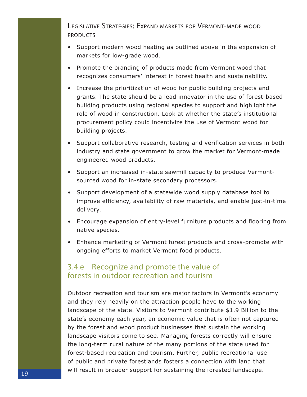Legislative Strategies: Expand markets for Vermont-made wood **PRODUCTS** 

- Support modern wood heating as outlined above in the expansion of markets for low-grade wood.
- Promote the branding of products made from Vermont wood that recognizes consumers' interest in forest health and sustainability.
- Increase the prioritization of wood for public building projects and grants. The state should be a lead innovator in the use of forest-based building products using regional species to support and highlight the role of wood in construction. Look at whether the state's institutional procurement policy could incentivize the use of Vermont wood for building projects.
- Support collaborative research, testing and verification services in both industry and state government to grow the market for Vermont-made engineered wood products.
- Support an increased in-state sawmill capacity to produce Vermontsourced wood for in-state secondary processors.
- Support development of a statewide wood supply database tool to improve efficiency, availability of raw materials, and enable just-in-time delivery.
- Encourage expansion of entry-level furniture products and flooring from native species.
- Enhance marketing of Vermont forest products and cross-promote with ongoing efforts to market Vermont food products.

#### 3.4.e Recognize and promote the value of forests in outdoor recreation and tourism

Outdoor recreation and tourism are major factors in Vermont's economy and they rely heavily on the attraction people have to the working landscape of the state. Visitors to Vermont contribute \$1.9 Billion to the state's economy each year, an economic value that is often not captured by the forest and wood product businesses that sustain the working landscape visitors come to see. Managing forests correctly will ensure the long-term rural nature of the many portions of the state used for forest-based recreation and tourism. Further, public recreational use of public and private forestlands fosters a connection with land that will result in broader support for sustaining the forested landscape.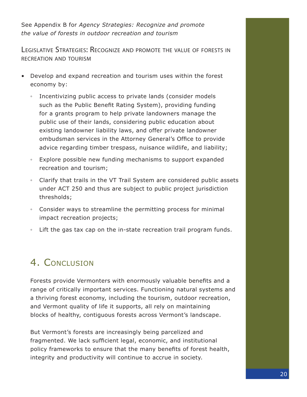See Appendix B for *Agency Strategies: Recognize and promote the value of forests in outdoor recreation and tourism*

Legislative Strategies: Recognize and promote the value of forests in recreation and tourism

- Develop and expand recreation and tourism uses within the forest economy by:
	- Incentivizing public access to private lands (consider models such as the Public Benefit Rating System), providing funding for a grants program to help private landowners manage the public use of their lands, considering public education about existing landowner liability laws, and offer private landowner ombudsman services in the Attorney General's Office to provide advice regarding timber trespass, nuisance wildlife, and liability;
	- Explore possible new funding mechanisms to support expanded recreation and tourism;
	- Clarify that trails in the VT Trail System are considered public assets under ACT 250 and thus are subject to public project jurisdiction thresholds;
	- Consider ways to streamline the permitting process for minimal impact recreation projects;
	- Lift the gas tax cap on the in-state recreation trail program funds.

## 4. CONCLUSION

Forests provide Vermonters with enormously valuable benefits and a range of critically important services. Functioning natural systems and a thriving forest economy, including the tourism, outdoor recreation, and Vermont quality of life it supports, all rely on maintaining blocks of healthy, contiguous forests across Vermont's landscape.

But Vermont's forests are increasingly being parcelized and fragmented. We lack sufficient legal, economic, and institutional policy frameworks to ensure that the many benefits of forest health, integrity and productivity will continue to accrue in society.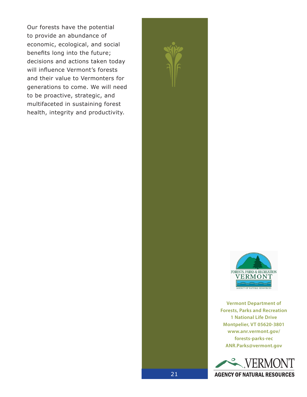Our forests have the potential to provide an abundance of economic, ecological, and social benefits long into the future; decisions and actions taken today will influence Vermont's forests and their value to Vermonters for generations to come. We will need to be proactive, strategic, and multifaceted in sustaining forest health, integrity and productivity.



**Vermont Department of Forests, Parks and Recreation 1 National Life Drive Montpelier, VT 05620-3801 www.anr.vermont.gov/ forests-parks-rec ANR.Parks@vermont.gov**



21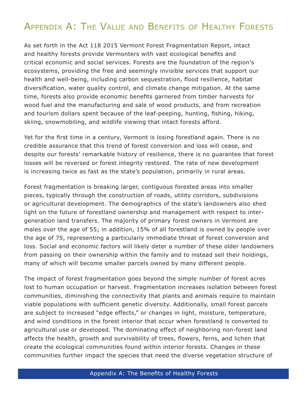## Appendix A: The Value and Benefits of Healthy Forests

As set forth in the Act 118 2015 Vermont Forest Fragmentation Report, intact and healthy forests provide Vermonters with vast ecological benefits and critical economic and social services. Forests are the foundation of the region's ecosystems, providing the free and seemingly invisible services that support our health and well-being, including carbon sequestration, flood resilience, habitat diversification, water quality control, and climate change mitigation. At the same time, forests also provide economic benefits garnered from timber harvests for wood fuel and the manufacturing and sale of wood products, and from recreation and tourism dollars spent because of the leaf-peeping, hunting, fishing, hiking, skiing, snowmobiling, and wildlife viewing that intact forests afford.

Yet for the first time in a century, Vermont is losing forestland again. There is no credible assurance that this trend of forest conversion and loss will cease, and despite our forests' remarkable history of resilience, there is no guarantee that forest losses will be reversed or forest integrity restored. The rate of new development is increasing twice as fast as the state's population, primarily in rural areas.

Forest fragmentation is breaking larger, contiguous forested areas into smaller pieces, typically through the construction of roads, utility corridors, subdivisions or agricultural development. The demographics of the state's landowners also shed light on the future of forestland ownership and management with respect to intergeneration land transfers. The majority of primary forest owners in Vermont are males over the age of 55; in addition, 15% of all forestland is owned by people over the age of 75, representing a particularly immediate threat of forest conversion and loss. Social and economic factors will likely deter a number of these older landowners from passing on their ownership within the family and to instead sell their holdings, many of which will become smaller parcels owned by many different people.

The impact of forest fragmentation goes beyond the simple number of forest acres lost to human occupation or harvest. Fragmentation increases isolation between forest communities, diminishing the connectivity that plants and animals require to maintain viable populations with sufficient genetic diversity. Additionally, small forest parcels are subject to increased "edge effects," or changes in light, moisture, temperature, and wind conditions in the forest interior that occur when forestland is converted to agricultural use or developed. The dominating effect of neighboring non-forest land affects the health, growth and survivability of trees, flowers, ferns, and lichen that create the ecological communities found within interior forests. Changes in these communities further impact the species that need the diverse vegetation structure of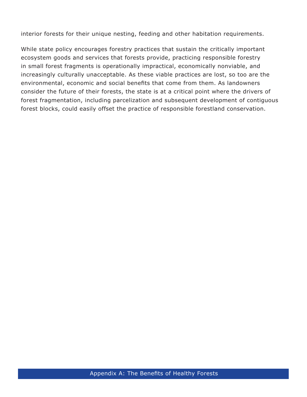interior forests for their unique nesting, feeding and other habitation requirements.

While state policy encourages forestry practices that sustain the critically important ecosystem goods and services that forests provide, practicing responsible forestry in small forest fragments is operationally impractical, economically nonviable, and increasingly culturally unacceptable. As these viable practices are lost, so too are the environmental, economic and social benefits that come from them. As landowners consider the future of their forests, the state is at a critical point where the drivers of forest fragmentation, including parcelization and subsequent development of contiguous forest blocks, could easily offset the practice of responsible forestland conservation.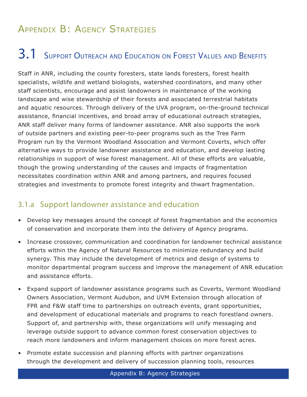## Appendix B: Agency Strategies

## 3.1 SUPPORT OUTREACH AND EDUCATION ON FOREST VALUES AND BENEFITS

Staff in ANR, including the county foresters, state lands foresters, forest health specialists, wildlife and wetland biologists, watershed coordinators, and many other staff scientists, encourage and assist landowners in maintenance of the working landscape and wise stewardship of their forests and associated terrestrial habitats and aquatic resources. Through delivery of the UVA program, on-the-ground technical assistance, financial incentives, and broad array of educational outreach strategies, ANR staff deliver many forms of landowner assistance. ANR also supports the work of outside partners and existing peer-to-peer programs such as the Tree Farm Program run by the Vermont Woodland Association and Vermont Coverts, which offer alternative ways to provide landowner assistance and education, and develop lasting relationships in support of wise forest management. All of these efforts are valuable, though the growing understanding of the causes and impacts of fragmentation necessitates coordination within ANR and among partners, and requires focused strategies and investments to promote forest integrity and thwart fragmentation.

#### 3.1.a Support landowner assistance and education

- Develop key messages around the concept of forest fragmentation and the economics of conservation and incorporate them into the delivery of Agency programs.
- Increase crossover, communication and coordination for landowner technical assistance efforts within the Agency of Natural Resources to minimize redundancy and build synergy. This may include the development of metrics and design of systems to monitor departmental program success and improve the management of ANR education and assistance efforts.
- Expand support of landowner assistance programs such as Coverts, Vermont Woodland Owners Association, Vermont Audubon, and UVM Extension through allocation of FPR and F&W staff time to partnerships on outreach events, grant opportunities, and development of educational materials and programs to reach forestland owners. Support of, and partnership with, these organizations will unify messaging and leverage outside support to advance common forest conservation objectives to reach more landowners and inform management choices on more forest acres.
- Promote estate succession and planning efforts with partner organizations through the development and delivery of succession planning tools, resources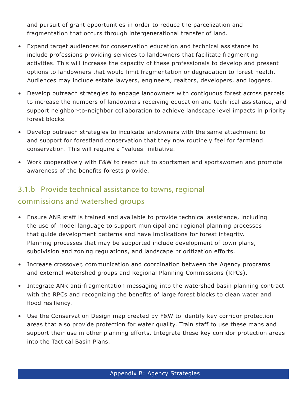and pursuit of grant opportunities in order to reduce the parcelization and fragmentation that occurs through intergenerational transfer of land.

- Expand target audiences for conservation education and technical assistance to include professions providing services to landowners that facilitate fragmenting activities. This will increase the capacity of these professionals to develop and present options to landowners that would limit fragmentation or degradation to forest health. Audiences may include estate lawyers, engineers, realtors, developers, and loggers.
- Develop outreach strategies to engage landowners with contiguous forest across parcels to increase the numbers of landowners receiving education and technical assistance, and support neighbor-to-neighbor collaboration to achieve landscape level impacts in priority forest blocks.
- Develop outreach strategies to inculcate landowners with the same attachment to and support for forestland conservation that they now routinely feel for farmland conservation. This will require a "values" initiative.
- Work cooperatively with F&W to reach out to sportsmen and sportswomen and promote awareness of the benefits forests provide.

### 3.1.b Provide technical assistance to towns, regional commissions and watershed groups

- Ensure ANR staff is trained and available to provide technical assistance, including the use of model language to support municipal and regional planning processes that guide development patterns and have implications for forest integrity. Planning processes that may be supported include development of town plans, subdivision and zoning regulations, and landscape prioritization efforts.
- Increase crossover, communication and coordination between the Agency programs and external watershed groups and Regional Planning Commissions (RPCs).
- Integrate ANR anti-fragmentation messaging into the watershed basin planning contract with the RPCs and recognizing the benefits of large forest blocks to clean water and flood resiliency.
- Use the Conservation Design map created by F&W to identify key corridor protection areas that also provide protection for water quality. Train staff to use these maps and support their use in other planning efforts. Integrate these key corridor protection areas into the Tactical Basin Plans.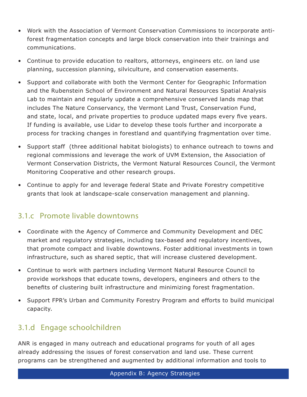- Work with the Association of Vermont Conservation Commissions to incorporate antiforest fragmentation concepts and large block conservation into their trainings and communications.
- Continue to provide education to realtors, attorneys, engineers etc. on land use planning, succession planning, silviculture, and conservation easements.
- Support and collaborate with both the Vermont Center for Geographic Information and the Rubenstein School of Environment and Natural Resources Spatial Analysis Lab to maintain and regularly update a comprehensive conserved lands map that includes The Nature Conservancy, the Vermont Land Trust, Conservation Fund, and state, local, and private properties to produce updated maps every five years. If funding is available, use Lidar to develop these tools further and incorporate a process for tracking changes in forestland and quantifying fragmentation over time.
- Support staff (three additional habitat biologists) to enhance outreach to towns and regional commissions and leverage the work of UVM Extension, the Association of Vermont Conservation Districts, the Vermont Natural Resources Council, the Vermont Monitoring Cooperative and other research groups.
- Continue to apply for and leverage federal State and Private Forestry competitive grants that look at landscape-scale conservation management and planning.

#### 3.1.c Promote livable downtowns

- Coordinate with the Agency of Commerce and Community Development and DEC market and regulatory strategies, including tax-based and regulatory incentives, that promote compact and livable downtowns. Foster additional investments in town infrastructure, such as shared septic, that will increase clustered development.
- Continue to work with partners including Vermont Natural Resource Council to provide workshops that educate towns, developers, engineers and others to the benefits of clustering built infrastructure and minimizing forest fragmentation.
- Support FPR's Urban and Community Forestry Program and efforts to build municipal capacity.

### 3.1.d Engage schoolchildren

ANR is engaged in many outreach and educational programs for youth of all ages already addressing the issues of forest conservation and land use. These current programs can be strengthened and augmented by additional information and tools to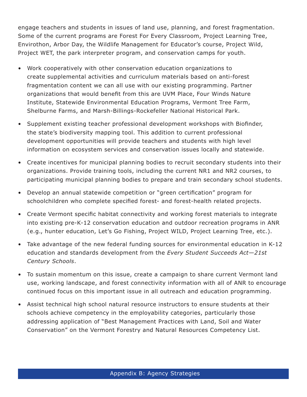engage teachers and students in issues of land use, planning, and forest fragmentation. Some of the current programs are Forest For Every Classroom, Project Learning Tree, Envirothon, Arbor Day, the Wildlife Management for Educator's course, Project Wild, Project WET, the park interpreter program, and conservation camps for youth.

- Work cooperatively with other conservation education organizations to create supplemental activities and curriculum materials based on anti-forest fragmentation content we can all use with our existing programming. Partner organizations that would benefit from this are UVM Place, Four Winds Nature Institute, Statewide Environmental Education Programs, Vermont Tree Farm, Shelburne Farms, and Marsh-Billings-Rockefeller National Historical Park.
- Supplement existing teacher professional development workshops with Biofinder, the state's biodiversity mapping tool. This addition to current professional development opportunities will provide teachers and students with high level information on ecosystem services and conservation issues locally and statewide.
- Create incentives for municipal planning bodies to recruit secondary students into their organizations. Provide training tools, including the current NR1 and NR2 courses, to participating municipal planning bodies to prepare and train secondary school students.
- Develop an annual statewide competition or "green certification" program for schoolchildren who complete specified forest- and forest-health related projects.
- Create Vermont specific habitat connectivity and working forest materials to integrate into existing pre-K-12 conservation education and outdoor recreation programs in ANR (e.g., hunter education, Let's Go Fishing, Project WILD, Project Learning Tree, etc.).
- Take advantage of the new federal funding sources for environmental education in K-12 education and standards development from the *Every Student Succeeds Act—21st Century Schools*.
- To sustain momentum on this issue, create a campaign to share current Vermont land use, working landscape, and forest connectivity information with all of ANR to encourage continued focus on this important issue in all outreach and education programming.
- Assist technical high school natural resource instructors to ensure students at their schools achieve competency in the employability categories, particularly those addressing application of "Best Management Practices with Land, Soil and Water Conservation" on the Vermont Forestry and Natural Resources Competency List.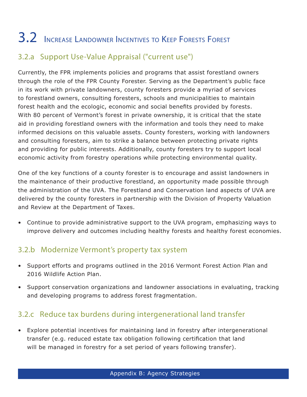# 3.2 Increase Landowner Incentives to Keep Forests Forest

### 3.2.a Support Use-Value Appraisal ("current use")

Currently, the FPR implements policies and programs that assist forestland owners through the role of the FPR County Forester. Serving as the Department's public face in its work with private landowners, county foresters provide a myriad of services to forestland owners, consulting foresters, schools and municipalities to maintain forest health and the ecologic, economic and social benefits provided by forests. With 80 percent of Vermont's forest in private ownership, it is critical that the state aid in providing forestland owners with the information and tools they need to make informed decisions on this valuable assets. County foresters, working with landowners and consulting foresters, aim to strike a balance between protecting private rights and providing for public interests. Additionally, county foresters try to support local economic activity from forestry operations while protecting environmental quality.

One of the key functions of a county forester is to encourage and assist landowners in the maintenance of their productive forestland, an opportunity made possible through the administration of the UVA. The Forestland and Conservation land aspects of UVA are delivered by the county foresters in partnership with the Division of Property Valuation and Review at the Department of Taxes.

• Continue to provide administrative support to the UVA program, emphasizing ways to improve delivery and outcomes including healthy forests and healthy forest economies.

### 3.2.b Modernize Vermont's property tax system

- Support efforts and programs outlined in the 2016 Vermont Forest Action Plan and 2016 Wildlife Action Plan.
- Support conservation organizations and landowner associations in evaluating, tracking and developing programs to address forest fragmentation.

### 3.2.c Reduce tax burdens during intergenerational land transfer

• Explore potential incentives for maintaining land in forestry after intergenerational transfer (e.g. reduced estate tax obligation following certification that land will be managed in forestry for a set period of years following transfer).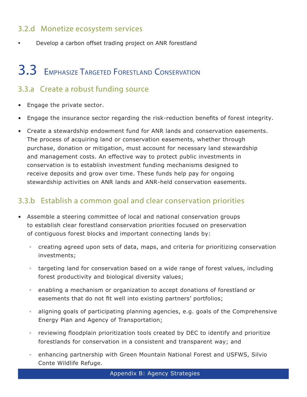### 3.2.d Monetize ecosystem services

• Develop a carbon offset trading project on ANR forestland

## 3.3 Emphasize Targeted Forestland Conservation

#### 3.3.a Create a robust funding source

- Engage the private sector.
- Engage the insurance sector regarding the risk-reduction benefits of forest integrity.
- Create a stewardship endowment fund for ANR lands and conservation easements. The process of acquiring land or conservation easements, whether through purchase, donation or mitigation, must account for necessary land stewardship and management costs. An effective way to protect public investments in conservation is to establish investment funding mechanisms designed to receive deposits and grow over time. These funds help pay for ongoing stewardship activities on ANR lands and ANR-held conservation easements.

#### 3.3.b Establish a common goal and clear conservation priorities

- Assemble a steering committee of local and national conservation groups to establish clear forestland conservation priorities focused on preservation of contiguous forest blocks and important connecting lands by:
	- creating agreed upon sets of data, maps, and criteria for prioritizing conservation investments;
	- targeting land for conservation based on a wide range of forest values, including forest productivity and biological diversity values;
	- enabling a mechanism or organization to accept donations of forestland or easements that do not fit well into existing partners' portfolios;
	- aligning goals of participating planning agencies, e.g. goals of the Comprehensive Energy Plan and Agency of Transportation;
	- reviewing floodplain prioritization tools created by DEC to identify and prioritize forestlands for conservation in a consistent and transparent way; and
	- enhancing partnership with Green Mountain National Forest and USFWS, Silvio Conte Wildlife Refuge.

Appendix B: Agency Strategies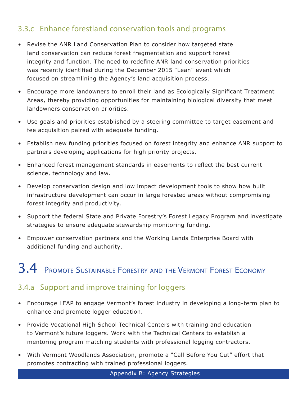### 3.3.c Enhance forestland conservation tools and programs

- Revise the ANR Land Conservation Plan to consider how targeted state land conservation can reduce forest fragmentation and support forest integrity and function. The need to redefine ANR land conservation priorities was recently identified during the December 2015 "Lean" event which focused on streamlining the Agency's land acquisition process.
- Encourage more landowners to enroll their land as Ecologically Significant Treatment Areas, thereby providing opportunities for maintaining biological diversity that meet landowners conservation priorities.
- Use goals and priorities established by a steering committee to target easement and fee acquisition paired with adequate funding.
- Establish new funding priorities focused on forest integrity and enhance ANR support to partners developing applications for high priority projects.
- Enhanced forest management standards in easements to reflect the best current science, technology and law.
- Develop conservation design and low impact development tools to show how built infrastructure development can occur in large forested areas without compromising forest integrity and productivity.
- Support the federal State and Private Forestry's Forest Legacy Program and investigate strategies to ensure adequate stewardship monitoring funding.
- Empower conservation partners and the Working Lands Enterprise Board with additional funding and authority.

# 3.4 Promote Sustainable Forestry and the Vermont Forest Economy

#### 3.4.a Support and improve training for loggers

- Encourage LEAP to engage Vermont's forest industry in developing a long-term plan to enhance and promote logger education.
- Provide Vocational High School Technical Centers with training and education to Vermont's future loggers. Work with the Technical Centers to establish a mentoring program matching students with professional logging contractors.
- With Vermont Woodlands Association, promote a "Call Before You Cut" effort that promotes contracting with trained professional loggers.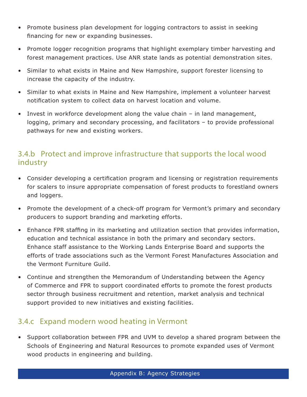- Promote business plan development for logging contractors to assist in seeking financing for new or expanding businesses.
- Promote logger recognition programs that highlight exemplary timber harvesting and forest management practices. Use ANR state lands as potential demonstration sites.
- Similar to what exists in Maine and New Hampshire, support forester licensing to increase the capacity of the industry.
- Similar to what exists in Maine and New Hampshire, implement a volunteer harvest notification system to collect data on harvest location and volume.
- Invest in workforce development along the value chain in land management, logging, primary and secondary processing, and facilitators – to provide professional pathways for new and existing workers.

### 3.4.b Protect and improve infrastructure that supports the local wood industry

- Consider developing a certification program and licensing or registration requirements for scalers to insure appropriate compensation of forest products to forestland owners and loggers.
- Promote the development of a check-off program for Vermont's primary and secondary producers to support branding and marketing efforts.
- Enhance FPR staffing in its marketing and utilization section that provides information, education and technical assistance in both the primary and secondary sectors. Enhance staff assistance to the Working Lands Enterprise Board and supports the efforts of trade associations such as the Vermont Forest Manufactures Association and the Vermont Furniture Guild.
- Continue and strengthen the Memorandum of Understanding between the Agency of Commerce and FPR to support coordinated efforts to promote the forest products sector through business recruitment and retention, market analysis and technical support provided to new initiatives and existing facilities.

### 3.4.c Expand modern wood heating in Vermont

• Support collaboration between FPR and UVM to develop a shared program between the Schools of Engineering and Natural Resources to promote expanded uses of Vermont wood products in engineering and building.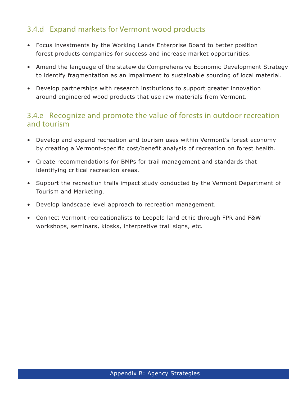### 3.4.d Expand markets for Vermont wood products

- Focus investments by the Working Lands Enterprise Board to better position forest products companies for success and increase market opportunities.
- Amend the language of the statewide Comprehensive Economic Development Strategy to identify fragmentation as an impairment to sustainable sourcing of local material.
- Develop partnerships with research institutions to support greater innovation around engineered wood products that use raw materials from Vermont.

#### 3.4.e Recognize and promote the value of forests in outdoor recreation and tourism

- Develop and expand recreation and tourism uses within Vermont's forest economy by creating a Vermont-specific cost/benefit analysis of recreation on forest health.
- Create recommendations for BMPs for trail management and standards that identifying critical recreation areas.
- Support the recreation trails impact study conducted by the Vermont Department of Tourism and Marketing.
- Develop landscape level approach to recreation management.
- Connect Vermont recreationalists to Leopold land ethic through FPR and F&W workshops, seminars, kiosks, interpretive trail signs, etc.